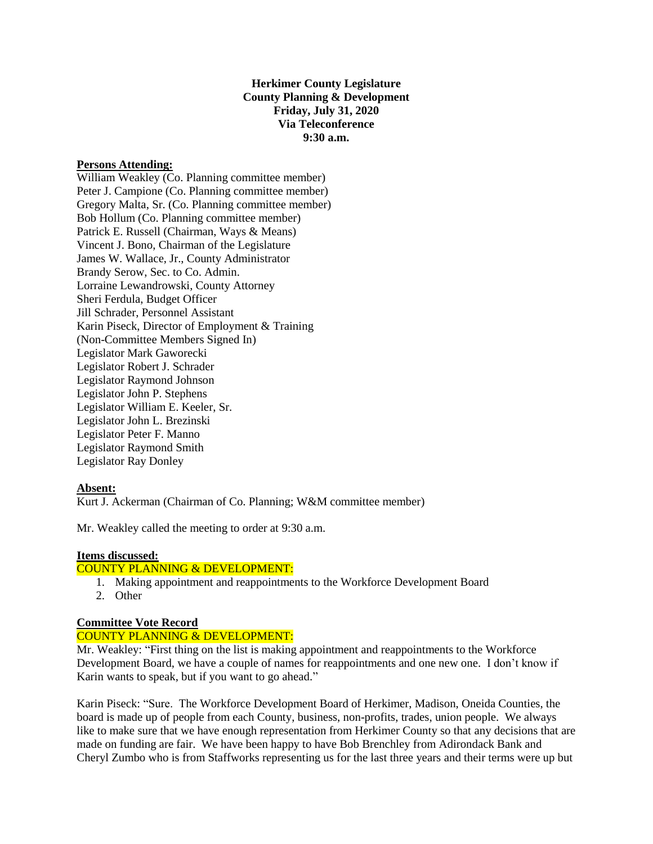**Herkimer County Legislature County Planning & Development Friday, July 31, 2020 Via Teleconference 9:30 a.m.**

## **Persons Attending:**

William Weakley (Co. Planning committee member) Peter J. Campione (Co. Planning committee member) Gregory Malta, Sr. (Co. Planning committee member) Bob Hollum (Co. Planning committee member) Patrick E. Russell (Chairman, Ways & Means) Vincent J. Bono, Chairman of the Legislature James W. Wallace, Jr., County Administrator Brandy Serow, Sec. to Co. Admin. Lorraine Lewandrowski, County Attorney Sheri Ferdula, Budget Officer Jill Schrader, Personnel Assistant Karin Piseck, Director of Employment & Training (Non-Committee Members Signed In) Legislator Mark Gaworecki Legislator Robert J. Schrader Legislator Raymond Johnson Legislator John P. Stephens Legislator William E. Keeler, Sr. Legislator John L. Brezinski Legislator Peter F. Manno Legislator Raymond Smith Legislator Ray Donley

## **Absent:**

Kurt J. Ackerman (Chairman of Co. Planning; W&M committee member)

Mr. Weakley called the meeting to order at 9:30 a.m.

#### **Items discussed:**

## COUNTY PLANNING & DEVELOPMENT:

- 1. Making appointment and reappointments to the Workforce Development Board
- 2. Other

## **Committee Vote Record**

# COUNTY PLANNING & DEVELOPMENT:

Mr. Weakley: "First thing on the list is making appointment and reappointments to the Workforce Development Board, we have a couple of names for reappointments and one new one. I don't know if Karin wants to speak, but if you want to go ahead."

Karin Piseck: "Sure. The Workforce Development Board of Herkimer, Madison, Oneida Counties, the board is made up of people from each County, business, non-profits, trades, union people. We always like to make sure that we have enough representation from Herkimer County so that any decisions that are made on funding are fair. We have been happy to have Bob Brenchley from Adirondack Bank and Cheryl Zumbo who is from Staffworks representing us for the last three years and their terms were up but